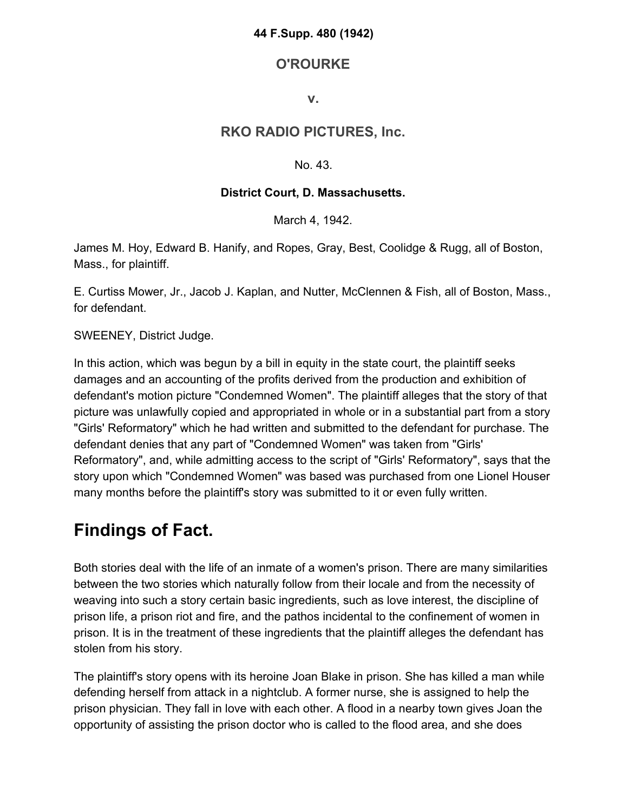#### **44 F.Supp. 480 (1942)**

## **O'ROURKE**

### **v.**

## **RKO RADIO PICTURES, Inc.**

#### No. 43.

### **District Court, D. Massachusetts.**

March 4, 1942.

James M. Hoy, Edward B. Hanify, and Ropes, Gray, Best, Coolidge & Rugg, all of Boston, Mass., for plaintiff.

E. Curtiss Mower, Jr., Jacob J. Kaplan, and Nutter, McClennen & Fish, all of Boston, Mass., for defendant.

SWEENEY, District Judge.

In this action, which was begun by a bill in equity in the state court, the plaintiff seeks damages and an accounting of the profits derived from the production and exhibition of defendant's motion picture "Condemned Women". The plaintiff alleges that the story of that picture was unlawfully copied and appropriated in whole or in a substantial part from a story "Girls' Reformatory" which he had written and submitted to the defendant for purchase. The defendant denies that any part of "Condemned Women" was taken from "Girls' Reformatory", and, while admitting access to the script of "Girls' Reformatory", says that the story upon which "Condemned Women" was based was purchased from one Lionel Houser many months before the plaintiff's story was submitted to it or even fully written.

# **Findings of Fact.**

Both stories deal with the life of an inmate of a women's prison. There are many similarities between the two stories which naturally follow from their locale and from the necessity of weaving into such a story certain basic ingredients, such as love interest, the discipline of prison life, a prison riot and fire, and the pathos incidental to the confinement of women in prison. It is in the treatment of these ingredients that the plaintiff alleges the defendant has stolen from his story.

The plaintiff's story opens with its heroine Joan Blake in prison. She has killed a man while defending herself from attack in a nightclub. A former nurse, she is assigned to help the prison physician. They fall in love with each other. A flood in a nearby town gives Joan the opportunity of assisting the prison doctor who is called to the flood area, and she does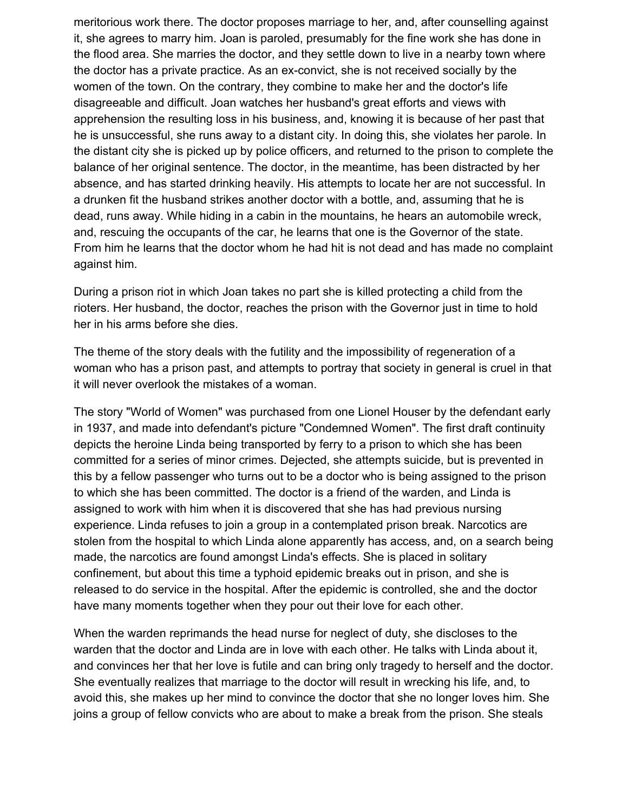meritorious work there. The doctor proposes marriage to her, and, after counselling against it, she agrees to marry him. Joan is paroled, presumably for the fine work she has done in the flood area. She marries the doctor, and they settle down to live in a nearby town where the doctor has a private practice. As an ex-convict, she is not received socially by the women of the town. On the contrary, they combine to make her and the doctor's life disagreeable and difficult. Joan watches her husband's great efforts and views with apprehension the resulting loss in his business, and, knowing it is because of her past that he is unsuccessful, she runs away to a distant city. In doing this, she violates her parole. In the distant city she is picked up by police officers, and returned to the prison to complete the balance of her original sentence. The doctor, in the meantime, has been distracted by her absence, and has started drinking heavily. His attempts to locate her are not successful. In a drunken fit the husband strikes another doctor with a bottle, and, assuming that he is dead, runs away. While hiding in a cabin in the mountains, he hears an automobile wreck, and, rescuing the occupants of the car, he learns that one is the Governor of the state. From him he learns that the doctor whom he had hit is not dead and has made no complaint against him.

During a prison riot in which Joan takes no part she is killed protecting a child from the rioters. Her husband, the doctor, reaches the prison with the Governor just in time to hold her in his arms before she dies.

The theme of the story deals with the futility and the impossibility of regeneration of a woman who has a prison past, and attempts to portray that society in general is cruel in that it will never overlook the mistakes of a woman.

The story "World of Women" was purchased from one Lionel Houser by the defendant early in 1937, and made into defendant's picture "Condemned Women". The first draft continuity depicts the heroine Linda being transported by ferry to a prison to which she has been committed for a series of minor crimes. Dejected, she attempts suicide, but is prevented in this by a fellow passenger who turns out to be a doctor who is being assigned to the prison to which she has been committed. The doctor is a friend of the warden, and Linda is assigned to work with him when it is discovered that she has had previous nursing experience. Linda refuses to join a group in a contemplated prison break. Narcotics are stolen from the hospital to which Linda alone apparently has access, and, on a search being made, the narcotics are found amongst Linda's effects. She is placed in solitary confinement, but about this time a typhoid epidemic breaks out in prison, and she is released to do service in the hospital. After the epidemic is controlled, she and the doctor have many moments together when they pour out their love for each other.

When the warden reprimands the head nurse for neglect of duty, she discloses to the warden that the doctor and Linda are in love with each other. He talks with Linda about it, and convinces her that her love is futile and can bring only tragedy to herself and the doctor. She eventually realizes that marriage to the doctor will result in wrecking his life, and, to avoid this, she makes up her mind to convince the doctor that she no longer loves him. She joins a group of fellow convicts who are about to make a break from the prison. She steals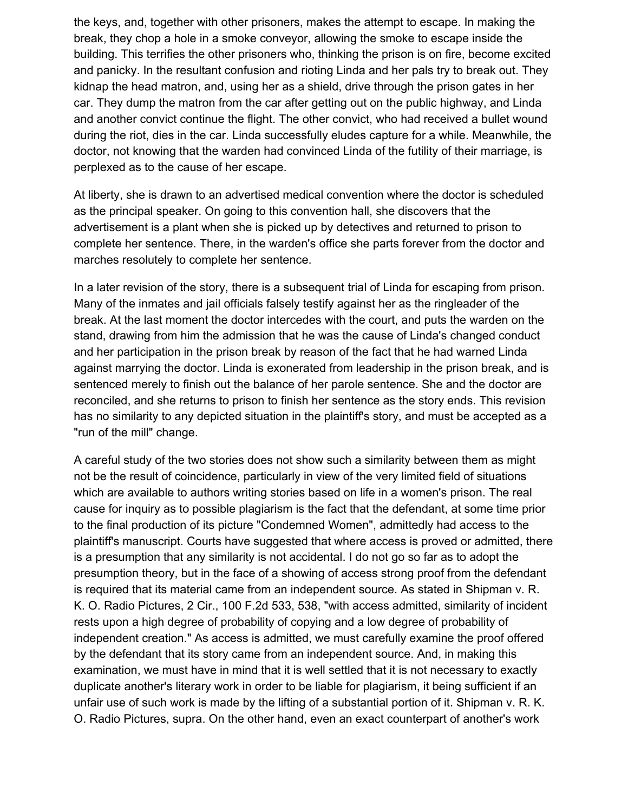the keys, and, together with other prisoners, makes the attempt to escape. In making the break, they chop a hole in a smoke conveyor, allowing the smoke to escape inside the building. This terrifies the other prisoners who, thinking the prison is on fire, become excited and panicky. In the resultant confusion and rioting Linda and her pals try to break out. They kidnap the head matron, and, using her as a shield, drive through the prison gates in her car. They dump the matron from the car after getting out on the public highway, and Linda and another convict continue the flight. The other convict, who had received a bullet wound during the riot, dies in the car. Linda successfully eludes capture for a while. Meanwhile, the doctor, not knowing that the warden had convinced Linda of the futility of their marriage, is perplexed as to the cause of her escape.

At liberty, she is drawn to an advertised medical convention where the doctor is scheduled as the principal speaker. On going to this convention hall, she discovers that the advertisement is a plant when she is picked up by detectives and returned to prison to complete her sentence. There, in the warden's office she parts forever from the doctor and marches resolutely to complete her sentence.

In a later revision of the story, there is a subsequent trial of Linda for escaping from prison. Many of the inmates and jail officials falsely testify against her as the ringleader of the break. At the last moment the doctor intercedes with the court, and puts the warden on the stand, drawing from him the admission that he was the cause of Linda's changed conduct and her participation in the prison break by reason of the fact that he had warned Linda against marrying the doctor. Linda is exonerated from leadership in the prison break, and is sentenced merely to finish out the balance of her parole sentence. She and the doctor are reconciled, and she returns to prison to finish her sentence as the story ends. This revision has no similarity to any depicted situation in the plaintiff's story, and must be accepted as a "run of the mill" change.

A careful study of the two stories does not show such a similarity between them as might not be the result of coincidence, particularly in view of the very limited field of situations which are available to authors writing stories based on life in a women's prison. The real cause for inquiry as to possible plagiarism is the fact that the defendant, at some time prior to the final production of its picture "Condemned Women", admittedly had access to the plaintiff's manuscript. Courts have suggested that where access is proved or admitted, there is a presumption that any similarity is not accidental. I do not go so far as to adopt the presumption theory, but in the face of a showing of access strong proof from the defendant is required that its material came from an independent source. As stated in Shipman v. R. K. O. Radio Pictures, 2 Cir., 100 F.2d 533, 538, "with access admitted, similarity of incident rests upon a high degree of probability of copying and a low degree of probability of independent creation." As access is admitted, we must carefully examine the proof offered by the defendant that its story came from an independent source. And, in making this examination, we must have in mind that it is well settled that it is not necessary to exactly duplicate another's literary work in order to be liable for plagiarism, it being sufficient if an unfair use of such work is made by the lifting of a substantial portion of it. Shipman v. R. K. O. Radio Pictures, supra. On the other hand, even an exact counterpart of another's work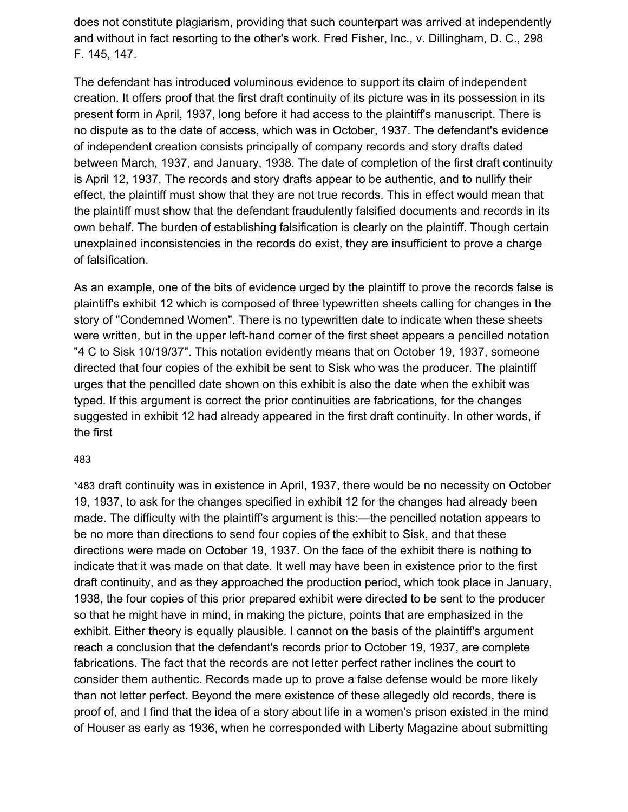does not constitute plagiarism, providing that such counterpart was arrived at independently and without in fact resorting to the other's work. Fred Fisher, Inc., v. Dillingham, D. C., 298 F. 145, 147.

The defendant has introduced voluminous evidence to support its claim of independent creation. It offers proof that the first draft continuity of its picture was in its possession in its present form in April, 1937, long before it had access to the plaintiff's manuscript. There is no dispute as to the date of access, which was in October, 1937. The defendant's evidence of independent creation consists principally of company records and story drafts dated between March, 1937, and January, 1938. The date of completion of the first draft continuity is April 12, 1937. The records and story drafts appear to be authentic, and to nullify their effect, the plaintiff must show that they are not true records. This in effect would mean that the plaintiff must show that the defendant fraudulently falsified documents and records in its own behalf. The burden of establishing falsification is clearly on the plaintiff. Though certain unexplained inconsistencies in the records do exist, they are insufficient to prove a charge of falsification.

As an example, one of the bits of evidence urged by the plaintiff to prove the records false is plaintiff's exhibit 12 which is composed of three typewritten sheets calling for changes in the story of "Condemned Women". There is no typewritten date to indicate when these sheets were written, but in the upper left-hand corner of the first sheet appears a pencilled notation "4 C to Sisk 10/19/37". This notation evidently means that on October 19, 1937, someone directed that four copies of the exhibit be sent to Sisk who was the producer. The plaintiff urges that the pencilled date shown on this exhibit is also the date when the exhibit was typed. If this argument is correct the prior continuities are fabrications, for the changes suggested in exhibit 12 had already appeared in the first draft continuity. In other words, if the first

#### 48[3](https://scholar.google.com/scholar_case?case=1956356054883490202&q=RKO+Radio+Pictures&hl=en&as_sdt=6,33#p483)

\*483 draft continuity was in existence in April, 1937, there would be no necessity on October 19, 1937, to ask for the changes specified in exhibit 12 for the changes had already been made. The difficulty with the plaintiff's argument is this:—the pencilled notation appears to be no more than directions to send four copies of the exhibit to Sisk, and that these directions were made on October 19, 1937. On the face of the exhibit there is nothing to indicate that it was made on that date. It well may have been in existence prior to the first draft continuity, and as they approached the production period, which took place in January, 1938, the four copies of this prior prepared exhibit were directed to be sent to the producer so that he might have in mind, in making the picture, points that are emphasized in the exhibit. Either theory is equally plausible. I cannot on the basis of the plaintiff's argument reach a conclusion that the defendant's records prior to October 19, 1937, are complete fabrications. The fact that the records are not letter perfect rather inclines the court to consider them authentic. Records made up to prove a false defense would be more likely than not letter perfect. Beyond the mere existence of these allegedly old records, there is proof of, and I find that the idea of a story about life in a women's prison existed in the mind of Houser as early as 1936, when he corresponded with Liberty Magazine about submitting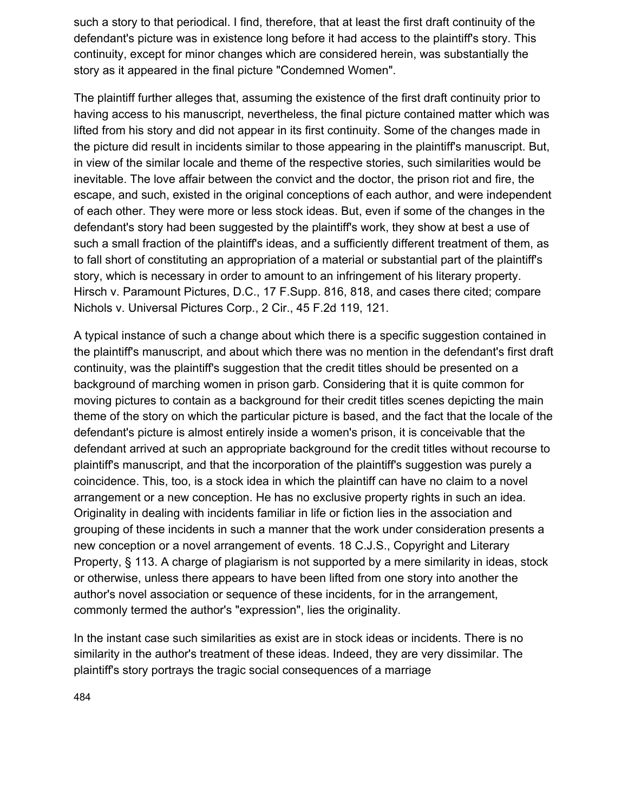such a story to that periodical. I find, therefore, that at least the first draft continuity of the defendant's picture was in existence long before it had access to the plaintiff's story. This continuity, except for minor changes which are considered herein, was substantially the story as it appeared in the final picture "Condemned Women".

The plaintiff further alleges that, assuming the existence of the first draft continuity prior to having access to his manuscript, nevertheless, the final picture contained matter which was lifted from his story and did not appear in its first continuity. Some of the changes made in the picture did result in incidents similar to those appearing in the plaintiff's manuscript. But, in view of the similar locale and theme of the respective stories, such similarities would be inevitable. The love affair between the convict and the doctor, the prison riot and fire, the escape, and such, existed in the original conceptions of each author, and were independent of each other. They were more or less stock ideas. But, even if some of the changes in the defendant's story had been suggested by the plaintiff's work, they show at best a use of such a small fraction of the plaintiff's ideas, and a sufficiently different treatment of them, as to fall short of constituting an appropriation of a material or substantial part of the plaintiff's story, which is necessary in order to amount to an infringement of his literary property. Hirsch v. Paramount Pictures, D.C., 17 F.Supp. 816, 818, and cases there cited; compare Nichols v. Universal Pictures Corp., 2 Cir., 45 F.2d 119, 121.

A typical instance of such a change about which there is a specific suggestion contained in the plaintiff's manuscript, and about which there was no mention in the defendant's first draft continuity, was the plaintiff's suggestion that the credit titles should be presented on a background of marching women in prison garb. Considering that it is quite common for moving pictures to contain as a background for their credit titles scenes depicting the main theme of the story on which the particular picture is based, and the fact that the locale of the defendant's picture is almost entirely inside a women's prison, it is conceivable that the defendant arrived at such an appropriate background for the credit titles without recourse to plaintiff's manuscript, and that the incorporation of the plaintiff's suggestion was purely a coincidence. This, too, is a stock idea in which the plaintiff can have no claim to a novel arrangement or a new conception. He has no exclusive property rights in such an idea. Originality in dealing with incidents familiar in life or fiction lies in the association and grouping of these incidents in such a manner that the work under consideration presents a new conception or a novel arrangement of events. 18 C.J.S., Copyright and Literary Property, § 113. A charge of plagiarism is not supported by a mere similarity in ideas, stock or otherwise, unless there appears to have been lifted from one story into another the author's novel association or sequence of these incidents, for in the arrangement, commonly termed the author's "expression", lies the originality.

In the instant case such similarities as exist are in stock ideas or incidents. There is no similarity in the author's treatment of these ideas. Indeed, they are very dissimilar. The plaintiff's story portrays the tragic social consequences of a marriage